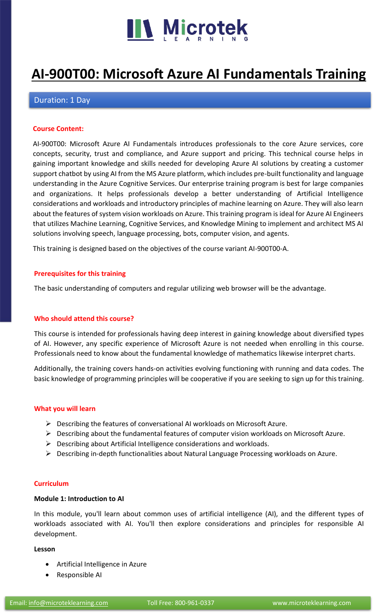

# **[AI-900T00: Microsoft Azure AI Fundamentals Training](https://www.microteklearning.com/ai-900t00-microsoft-azure-fundamentals-training/)**

# Duration: 1 Day

## **Course Content:**

AI-900T00: Microsoft Azure AI Fundamentals introduces professionals to the core Azure services, core concepts, security, trust and compliance, and Azure support and pricing. This technical course helps in gaining important knowledge and skills needed for developing Azure AI solutions by creating a customer support chatbot by using AI from the MS Azure platform, which includes pre-built functionality and language understanding in the Azure Cognitive Services. Our enterprise training program is best for large companies and organizations. It helps professionals develop a better understanding of Artificial Intelligence considerations and workloads and introductory principles of machine learning on Azure. They will also learn about the features of system vision workloads on Azure. This training program is ideal for Azure AI Engineers that utilizes Machine Learning, Cognitive Services, and Knowledge Mining to implement and architect MS AI solutions involving speech, language processing, bots, computer vision, and agents.

This training is designed based on the objectives of the course variant AI-900T00-A.

#### **Prerequisites for this training**

The basic understanding of computers and regular utilizing web browser will be the advantage.

## **Who should attend this course?**

This course is intended for professionals having deep interest in gaining knowledge about diversified types of AI. However, any specific experience of Microsoft Azure is not needed when enrolling in this course. Professionals need to know about the fundamental knowledge of mathematics likewise interpret charts.

Additionally, the training covers hands-on activities evolving functioning with running and data codes. The basic knowledge of programming principles will be cooperative if you are seeking to sign up for this training.

#### **What you will learn**

- ➢ Describing the features of conversational AI workloads on Microsoft Azure.
- ➢ Describing about the fundamental features of computer vision workloads on Microsoft Azure.
- ➢ Describing about Artificial Intelligence considerations and workloads.
- ➢ Describing in-depth functionalities about Natural Language Processing workloads on Azure.

#### **Curriculum**

### **Module 1: Introduction to AI**

In this module, you'll learn about common uses of artificial intelligence (AI), and the different types of workloads associated with AI. You'll then explore considerations and principles for responsible AI development.

#### **Lesson**

- Artificial Intelligence in Azure
- Responsible AI